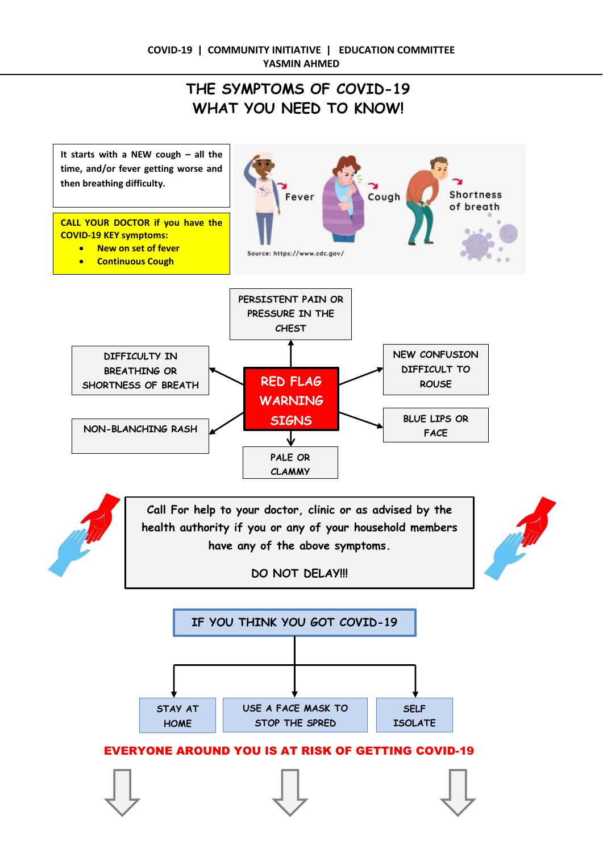# **THE SYMPTOMS OF COVID-19 WHAT YOU NEED TO KNOW!**

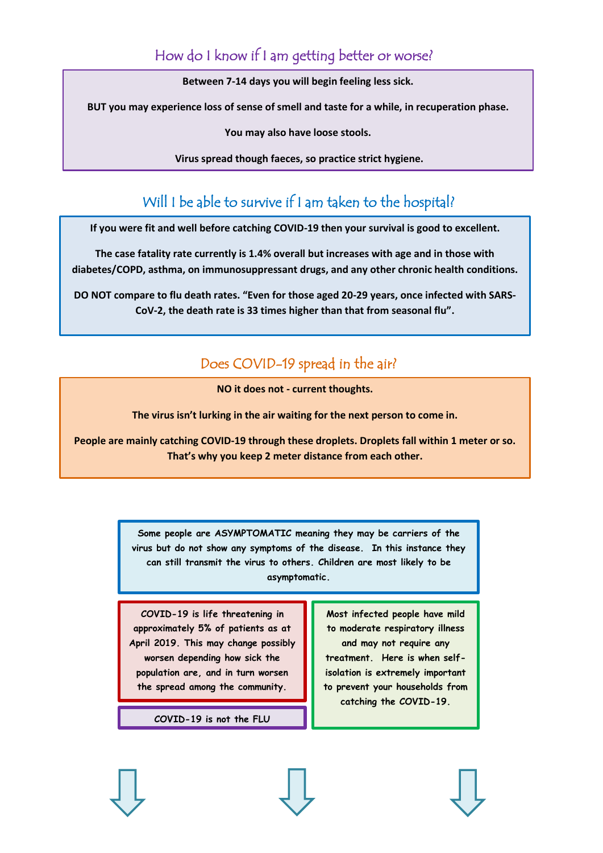## How do I know if I am getting better or worse?

**Between 7-14 days you will begin feeling less sick.**

**BUT you may experience loss of sense of smell and taste for a while, in recuperation phase.** 

**You may also have loose stools.**

**Virus spread though faeces, so practice strict hygiene.**

# Will I be able to survive if I am taken to the hospital?

**If you were fit and well before catching COVID-19 then your survival is good to excellent.**

**The case fatality rate currently is 1.4% overall but increases with age and in those with diabetes/COPD, asthma, on immunosuppressant drugs, and any other chronic health conditions.**

**DO NOT compare to flu death rates. "Even for those aged 20-29 years, once infected with SARS-CoV-2, the death rate is 33 times higher than that from seasonal flu".**

### Does COVID-19 spread in the air?

**NO it does not - current thoughts.**

**The virus isn't lurking in the air waiting for the next person to come in.**

**People are mainly catching COVID-19 through these droplets. Droplets fall within 1 meter or so. That's why you keep 2 meter distance from each other.**

> **Some people are ASYMPTOMATIC meaning they may be carriers of the virus but do not show any symptoms of the disease. In this instance they can still transmit the virus to others. Children are most likely to be asymptomatic.**

**COVID-19 is life threatening in approximately 5% of patients as at April 2019. This may change possibly worsen depending how sick the population are, and in turn worsen the spread among the community.**

**COVID-19 is not the FLU**

**Most infected people have mild to moderate respiratory illness and may not require any treatment. Here is when selfisolation is extremely important to prevent your households from catching the COVID-19.**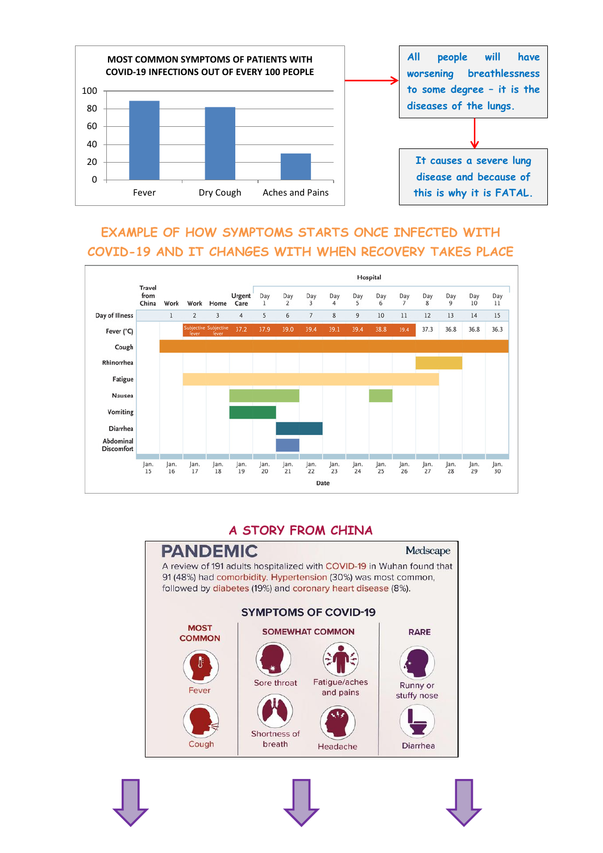

### **EXAMPLE OF HOW SYMPTOMS STARTS ONCE INFECTED WITH COVID-19 AND IT CHANGES WITH WHEN RECOVERY TAKES PLACE**



#### **A STORY FROM CHINA**